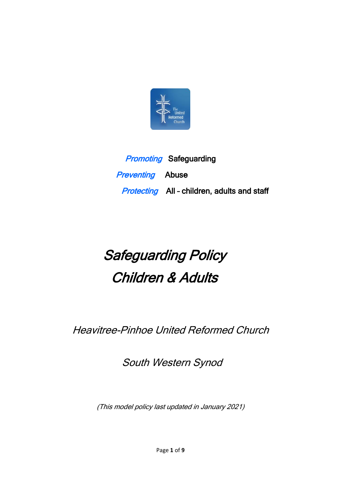

**Promoting Safeguarding Preventing** Abuse Protecting All - children, adults and staff

# Safeguarding Policy Children & Adults

Heavitree-Pinhoe United Reformed Church

South Western Synod

(This model policy last updated in January 2021)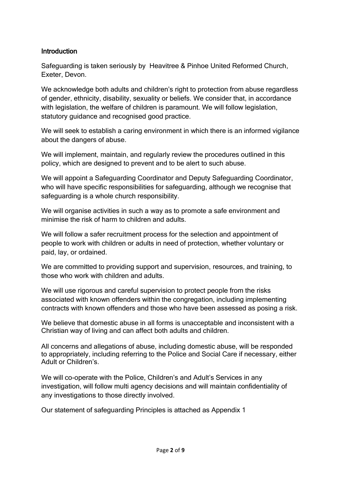### Introduction

Safeguarding is taken seriously by Heavitree & Pinhoe United Reformed Church, Exeter, Devon.

We acknowledge both adults and children's right to protection from abuse regardless of gender, ethnicity, disability, sexuality or beliefs. We consider that, in accordance with legislation, the welfare of children is paramount. We will follow legislation, statutory quidance and recognised good practice.

We will seek to establish a caring environment in which there is an informed vigilance about the dangers of abuse.

We will implement, maintain, and regularly review the procedures outlined in this policy, which are designed to prevent and to be alert to such abuse.

We will appoint a Safeguarding Coordinator and Deputy Safeguarding Coordinator, who will have specific responsibilities for safeguarding, although we recognise that safeguarding is a whole church responsibility.

We will organise activities in such a way as to promote a safe environment and minimise the risk of harm to children and adults.

We will follow a safer recruitment process for the selection and appointment of people to work with children or adults in need of protection, whether voluntary or paid, lay, or ordained.

We are committed to providing support and supervision, resources, and training, to those who work with children and adults.

We will use rigorous and careful supervision to protect people from the risks associated with known offenders within the congregation, including implementing contracts with known offenders and those who have been assessed as posing a risk.

We believe that domestic abuse in all forms is unacceptable and inconsistent with a Christian way of living and can affect both adults and children.

All concerns and allegations of abuse, including domestic abuse, will be responded to appropriately, including referring to the Police and Social Care if necessary, either Adult or Children's.

We will co-operate with the Police, Children's and Adult's Services in any investigation, will follow multi agency decisions and will maintain confidentiality of any investigations to those directly involved.

Our statement of safeguarding Principles is attached as Appendix 1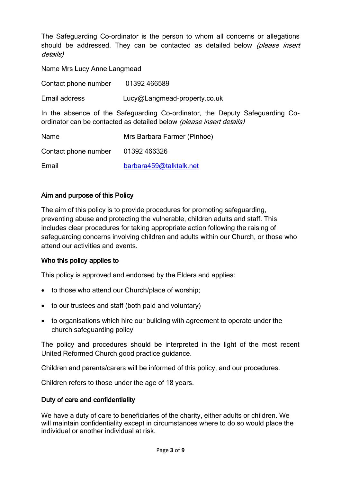The Safeguarding Co-ordinator is the person to whom all concerns or allegations should be addressed. They can be contacted as detailed below (please insert details)

Name Mrs Lucy Anne Langmead

Contact phone number 01392 466589

Email address Lucy@Langmead-property.co.uk

In the absence of the Safeguarding Co-ordinator, the Deputy Safeguarding Coordinator can be contacted as detailed below (please insert details)

| Name                 | Mrs Barbara Farmer (Pinhoe) |
|----------------------|-----------------------------|
| Contact phone number | 01392 466326                |
| Email                | barbara459@talktalk.net     |

#### Aim and purpose of this Policy

The aim of this policy is to provide procedures for promoting safeguarding, preventing abuse and protecting the vulnerable, children adults and staff. This includes clear procedures for taking appropriate action following the raising of safeguarding concerns involving children and adults within our Church, or those who attend our activities and events.

#### Who this policy applies to

This policy is approved and endorsed by the Elders and applies:

- to those who attend our Church/place of worship;
- to our trustees and staff (both paid and voluntary)
- to organisations which hire our building with agreement to operate under the church safeguarding policy

The policy and procedures should be interpreted in the light of the most recent United Reformed Church good practice guidance.

Children and parents/carers will be informed of this policy, and our procedures.

Children refers to those under the age of 18 years.

#### Duty of care and confidentiality

We have a duty of care to beneficiaries of the charity, either adults or children. We will maintain confidentiality except in circumstances where to do so would place the individual or another individual at risk.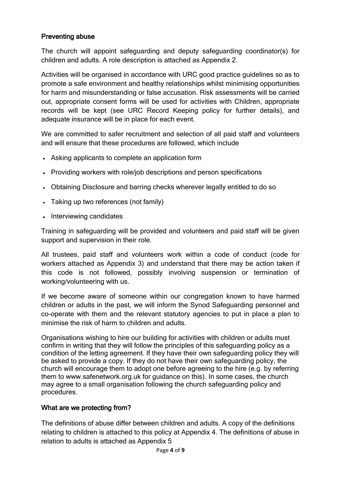# Preventing abuse

The church will appoint safeguarding and deputy safeguarding coordinator(s) for children and adults. A role description is attached as Appendix 2.

Activities will be organised in accordance with URC good practice guidelines so as to promote a safe environment and healthy relationships whilst minimising opportunities for harm and misunderstanding or false accusation. Risk assessments will be carried out, appropriate consent forms will be used for activities with Children, appropriate records will be kept (see URC Record Keeping policy for further details), and adequate insurance will be in place for each event.

We are committed to safer recruitment and selection of all paid staff and volunteers and will ensure that these procedures are followed, which include

- Asking applicants to complete an application form
- Providing workers with role/job descriptions and person specifications
- Obtaining Disclosure and barring checks wherever legally entitled to do so
- Taking up two references (not family)
- Interviewing candidates

Training in safeguarding will be provided and volunteers and paid staff will be given support and supervision in their role.

All trustees, paid staff and volunteers work within a code of conduct (code for workers attached as Appendix 3) and understand that there may be action taken if this code is not followed, possibly involving suspension or termination of working/volunteering with us.

If we become aware of someone within our congregation known to have harmed children or adults in the past, we will inform the Synod Safeguarding personnel and co-operate with them and the relevant statutory agencies to put in place a plan to minimise the risk of harm to children and adults.

Organisations wishing to hire our building for activities with children or adults must confirm in writing that they will follow the principles of this safeguarding policy as a condition of the letting agreement. If they have their own safeguarding policy they will be asked to provide a copy. If they do not have their own safeguarding policy, the church will encourage them to adopt one before agreeing to the hire (e.g. by referring them to www.safenetwork.org.uk for guidance on this). In some cases, the church may agree to a small organisation following the church safeguarding policy and procedures.

#### What are we protecting from?

The definitions of abuse differ between children and adults. A copy of the definitions relating to children is attached to this policy at Appendix 4. The definitions of abuse in relation to adults is attached as Appendix 5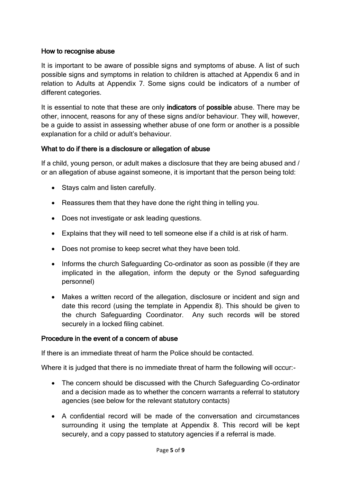### How to recognise abuse

It is important to be aware of possible signs and symptoms of abuse. A list of such possible signs and symptoms in relation to children is attached at Appendix 6 and in relation to Adults at Appendix 7. Some signs could be indicators of a number of different categories.

It is essential to note that these are only **indicators** of **possible** abuse. There may be other, innocent, reasons for any of these signs and/or behaviour. They will, however, be a guide to assist in assessing whether abuse of one form or another is a possible explanation for a child or adult's behaviour.

# What to do if there is a disclosure or allegation of abuse

If a child, young person, or adult makes a disclosure that they are being abused and / or an allegation of abuse against someone, it is important that the person being told:

- Stays calm and listen carefully.
- Reassures them that they have done the right thing in telling you.
- Does not investigate or ask leading questions.
- Explains that they will need to tell someone else if a child is at risk of harm.
- Does not promise to keep secret what they have been told.
- Informs the church Safeguarding Co-ordinator as soon as possible (if they are implicated in the allegation, inform the deputy or the Synod safeguarding personnel)
- Makes a written record of the allegation, disclosure or incident and sign and date this record (using the template in Appendix 8). This should be given to the church Safeguarding Coordinator. Any such records will be stored securely in a locked filing cabinet.

#### Procedure in the event of a concern of abuse

If there is an immediate threat of harm the Police should be contacted.

Where it is judged that there is no immediate threat of harm the following will occur:-

- The concern should be discussed with the Church Safeguarding Co-ordinator and a decision made as to whether the concern warrants a referral to statutory agencies (see below for the relevant statutory contacts)
- A confidential record will be made of the conversation and circumstances surrounding it using the template at Appendix 8. This record will be kept securely, and a copy passed to statutory agencies if a referral is made.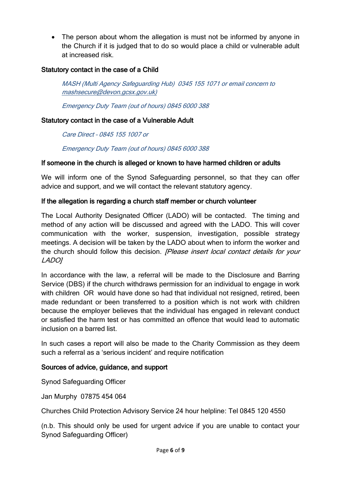• The person about whom the allegation is must not be informed by anyone in the Church if it is judged that to do so would place a child or vulnerable adult at increased risk.

## Statutory contact in the case of a Child

MASH (Multi Agency Safeguarding Hub) 0345 155 1071 or email concern to mashsecure@devon.gcsx.gov.uk)

Emergency Duty Team (out of hours) 0845 6000 388

#### Statutory contact in the case of a Vulnerable Adult

Care Direct – 0845 155 1007 or

Emergency Duty Team (out of hours) 0845 6000 388

#### If someone in the church is alleged or known to have harmed children or adults

We will inform one of the Synod Safeguarding personnel, so that they can offer advice and support, and we will contact the relevant statutory agency.

#### If the allegation is regarding a church staff member or church volunteer

The Local Authority Designated Officer (LADO) will be contacted. The timing and method of any action will be discussed and agreed with the LADO. This will cover communication with the worker, suspension, investigation, possible strategy meetings. A decision will be taken by the LADO about when to inform the worker and the church should follow this decision. *[Please insert local contact details for your* LADO]

In accordance with the law, a referral will be made to the Disclosure and Barring Service (DBS) if the church withdraws permission for an individual to engage in work with children OR would have done so had that individual not resigned, retired, been made redundant or been transferred to a position which is not work with children because the employer believes that the individual has engaged in relevant conduct or satisfied the harm test or has committed an offence that would lead to automatic inclusion on a barred list.

In such cases a report will also be made to the Charity Commission as they deem such a referral as a 'serious incident' and require notification

#### Sources of advice, guidance, and support

Synod Safeguarding Officer

Jan Murphy 07875 454 064

Churches Child Protection Advisory Service 24 hour helpline: Tel 0845 120 4550

(n.b. This should only be used for urgent advice if you are unable to contact your Synod Safeguarding Officer)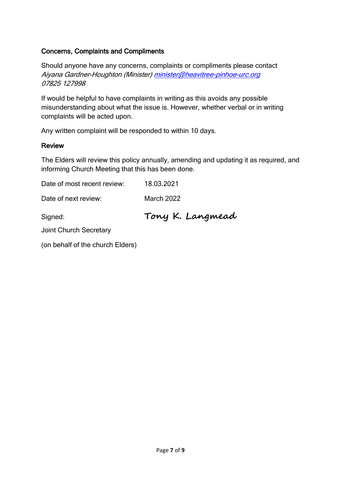# Concerns, Complaints and Compliments

Should anyone have any concerns, complaints or compliments please contact Aiyana Gardner-Houghton (Minister[\) minister@heavitree-pinhoe-urc.org](mailto:minister@heavitree-pinhoe-urc.org) 07825 127998

If would be helpful to have complaints in writing as this avoids any possible misunderstanding about what the issue is. However, whether verbal or in writing complaints will be acted upon.

Any written complaint will be responded to within 10 days.

#### Review

The Elders will review this policy annually, amending and updating it as required, and informing Church Meeting that this has been done.

Date of most recent review: 18.03.2021 Date of next review: March 2022 Signed: **Tony K. Langmead** Joint Church Secretary (on behalf of the church Elders)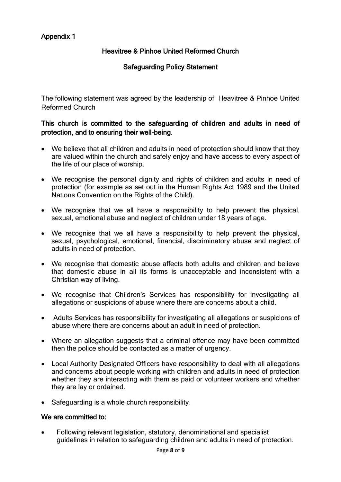# Appendix 1

# Heavitree & Pinhoe United Reformed Church

# Safeguarding Policy Statement

The following statement was agreed by the leadership of Heavitree & Pinhoe United Reformed Church

#### This church is committed to the safeguarding of children and adults in need of protection, and to ensuring their well-being.

- We believe that all children and adults in need of protection should know that they are valued within the church and safely enjoy and have access to every aspect of the life of our place of worship.
- We recognise the personal dignity and rights of children and adults in need of protection (for example as set out in the Human Rights Act 1989 and the United Nations Convention on the Rights of the Child).
- We recognise that we all have a responsibility to help prevent the physical, sexual, emotional abuse and neglect of children under 18 years of age.
- We recognise that we all have a responsibility to help prevent the physical, sexual, psychological, emotional, financial, discriminatory abuse and neglect of adults in need of protection.
- We recognise that domestic abuse affects both adults and children and believe that domestic abuse in all its forms is unacceptable and inconsistent with a Christian way of living.
- We recognise that Children's Services has responsibility for investigating all allegations or suspicions of abuse where there are concerns about a child.
- Adults Services has responsibility for investigating all allegations or suspicions of abuse where there are concerns about an adult in need of protection.
- Where an allegation suggests that a criminal offence may have been committed then the police should be contacted as a matter of urgency.
- Local Authority Designated Officers have responsibility to deal with all allegations and concerns about people working with children and adults in need of protection whether they are interacting with them as paid or volunteer workers and whether they are lay or ordained.
- Safeguarding is a whole church responsibility.

#### We are committed to:

• Following relevant legislation, statutory, denominational and specialist guidelines in relation to safeguarding children and adults in need of protection.